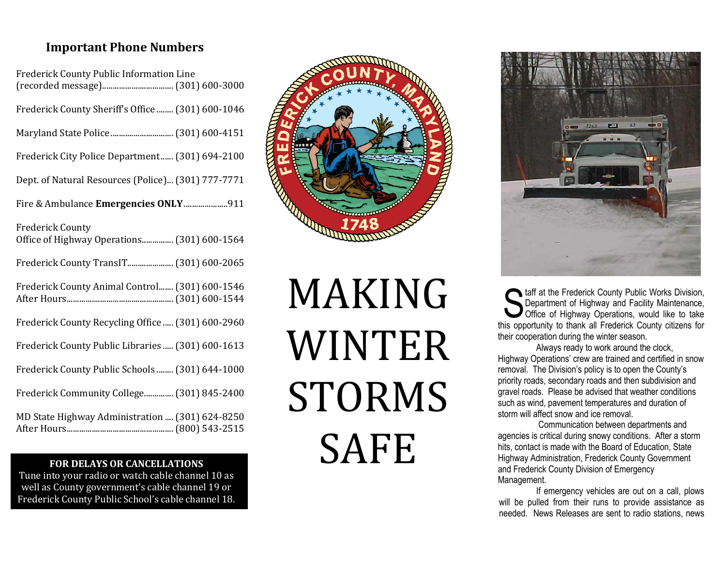## **Important Phone Numbers**

| Frederick County Public Information Line                               |
|------------------------------------------------------------------------|
| Frederick County Sheriff's Office  (301) 600-1046                      |
|                                                                        |
| Frederick City Police Department (301) 694-2100                        |
| Dept. of Natural Resources (Police) (301) 777-7771                     |
| Fire & Ambulance Emergencies ONLY 911                                  |
| <b>Frederick County</b><br>Office of Highway Operations (301) 600-1564 |
| Frederick County TransIT (301) 600-2065                                |
| Frederick County Animal Control (301) 600-1546                         |
| Frederick County Recycling Office (301) 600-2960                       |
| Frederick County Public Libraries  (301) 600-1613                      |
| Frederick County Public Schools  (301) 644-1000                        |
| Frederick Community College (301) 845-2400                             |
| MD State Highway Administration  (301) 624-8250                        |

## **FOR DELAYS OR CANCELLATIONS**

well as County government's cable channel 19 or<br>'rederick County Public School's cable channel 18 Tune into your radio or watch cable channel 10 as Frederick County Public School's cable channel 18.



## MAKING WINTER STORMS SAFE



taff at the Frederick County Public Works Division,<br>Department of Highway and Facility Maintenance,<br>Office of Highway Operations, would like to take Department of Highway and Facility Maintenance, Office of Highway Operations, would like to take this opportunity to thank all Frederick County citizens for their cooperation during the winter season.

 Always ready to work around the clock, Highway Operations' crew are trained and certified in snow removal. The Division's policy is to open the County's priority roads, secondary roads and then subdivision and gravel roads. Please be advised that weather conditions such as wind, pavement temperatures and duration ofstorm will affect snow and ice removal.

 Communication between departments and agencies is critical during snowy conditions. After a storm hits, contact is made with the Board of Education, State Highway Administration, Frederick County Governmentand Frederick County Division of Emergency Management.

 If emergency vehicles are out on a call, plows will be pulled from their runs to provide assistance as needed. News Releases are sent to radio stations, news